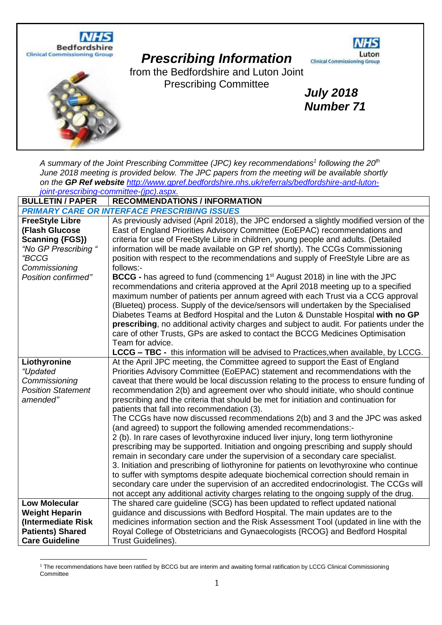

# *Prescribing Information*



*July 2018 Number 71*

from the Bedfordshire and Luton Joint Prescribing Committee



*A summary of the Joint Prescribing Committee (JPC) key recommendations<sup>1</sup> following the 20th June 2018 meeting is provided below. The JPC papers from the meeting will be available shortly on the GP Ref website [http://www.gpref.bedfordshire.nhs.uk/referrals/bedfordshire-and-luton](http://www.gpref.bedfordshire.nhs.uk/referrals/bedfordshire-and-luton-joint-prescribing-committee-(jpc).aspx)[joint-prescribing-committee-\(jpc\).aspx.](http://www.gpref.bedfordshire.nhs.uk/referrals/bedfordshire-and-luton-joint-prescribing-committee-(jpc).aspx)* 

**BULLETIN / PAPER RECOMMENDATIONS / INFORMATION**

| <b>PRIMARY CARE OR INTERFACE PRESCRIBING ISSUES</b>                                                                                         |                                                                                                                                                                                                                                                                                                                                                                                                                                                                                                                                                                                                                                                                                                                                                                                                                                                                                                                                                                                                                                                                                                                                                                                                                                                                        |  |
|---------------------------------------------------------------------------------------------------------------------------------------------|------------------------------------------------------------------------------------------------------------------------------------------------------------------------------------------------------------------------------------------------------------------------------------------------------------------------------------------------------------------------------------------------------------------------------------------------------------------------------------------------------------------------------------------------------------------------------------------------------------------------------------------------------------------------------------------------------------------------------------------------------------------------------------------------------------------------------------------------------------------------------------------------------------------------------------------------------------------------------------------------------------------------------------------------------------------------------------------------------------------------------------------------------------------------------------------------------------------------------------------------------------------------|--|
| <b>FreeStyle Libre</b><br>(Flash Glucose<br><b>Scanning {FGS})</b><br>"No GP Prescribing "<br>"BCCG<br>Commissioning<br>Position confirmed" | As previously advised (April 2018), the JPC endorsed a slightly modified version of the<br>East of England Priorities Advisory Committee (EoEPAC) recommendations and<br>criteria for use of FreeStyle Libre in children, young people and adults. (Detailed<br>information will be made available on GP ref shortly). The CCGs Commissioning<br>position with respect to the recommendations and supply of FreeStyle Libre are as<br>follows:-<br><b>BCCG</b> - has agreed to fund (commencing 1 <sup>st</sup> August 2018) in line with the JPC<br>recommendations and criteria approved at the April 2018 meeting up to a specified<br>maximum number of patients per annum agreed with each Trust via a CCG approval<br>(Blueteq) process. Supply of the device/sensors will undertaken by the Specialised<br>Diabetes Teams at Bedford Hospital and the Luton & Dunstable Hospital with no GP<br>prescribing, no additional activity charges and subject to audit. For patients under the<br>care of other Trusts, GPs are asked to contact the BCCG Medicines Optimisation<br>Team for advice.                                                                                                                                                                   |  |
|                                                                                                                                             | <b>LCCG – TBC -</b> this information will be advised to Practices, when available, by LCCG.                                                                                                                                                                                                                                                                                                                                                                                                                                                                                                                                                                                                                                                                                                                                                                                                                                                                                                                                                                                                                                                                                                                                                                            |  |
| Liothyronine<br>"Updated<br>Commissioning<br><b>Position Statement</b><br>amended"                                                          | At the April JPC meeting, the Committee agreed to support the East of England<br>Priorities Advisory Committee (EoEPAC) statement and recommendations with the<br>caveat that there would be local discussion relating to the process to ensure funding of<br>recommendation 2(b) and agreement over who should initiate, who should continue<br>prescribing and the criteria that should be met for initiation and continuation for<br>patients that fall into recommendation (3).<br>The CCGs have now discussed recommendations 2(b) and 3 and the JPC was asked<br>(and agreed) to support the following amended recommendations:-<br>2 (b). In rare cases of levothyroxine induced liver injury, long term liothyronine<br>prescribing may be supported. Initiation and ongoing prescribing and supply should<br>remain in secondary care under the supervision of a secondary care specialist.<br>3. Initiation and prescribing of liothyronine for patients on levothyroxine who continue<br>to suffer with symptoms despite adequate biochemical correction should remain in<br>secondary care under the supervision of an accredited endocrinologist. The CCGs will<br>not accept any additional activity charges relating to the ongoing supply of the drug. |  |
| <b>Low Molecular</b>                                                                                                                        | The shared care guideline (SCG) has been updated to reflect updated national                                                                                                                                                                                                                                                                                                                                                                                                                                                                                                                                                                                                                                                                                                                                                                                                                                                                                                                                                                                                                                                                                                                                                                                           |  |
| <b>Weight Heparin</b><br>(Intermediate Risk                                                                                                 | guidance and discussions with Bedford Hospital. The main updates are to the<br>medicines information section and the Risk Assessment Tool (updated in line with the                                                                                                                                                                                                                                                                                                                                                                                                                                                                                                                                                                                                                                                                                                                                                                                                                                                                                                                                                                                                                                                                                                    |  |
| <b>Patients) Shared</b>                                                                                                                     | Royal College of Obstetricians and Gynaecologists {RCOG} and Bedford Hospital                                                                                                                                                                                                                                                                                                                                                                                                                                                                                                                                                                                                                                                                                                                                                                                                                                                                                                                                                                                                                                                                                                                                                                                          |  |
| <b>Care Guideline</b>                                                                                                                       | Trust Guidelines).                                                                                                                                                                                                                                                                                                                                                                                                                                                                                                                                                                                                                                                                                                                                                                                                                                                                                                                                                                                                                                                                                                                                                                                                                                                     |  |

<sup>1</sup> The recommendations have been ratified by BCCG but are interim and awaiting formal ratification by LCCG Clinical Commissioning **Committee**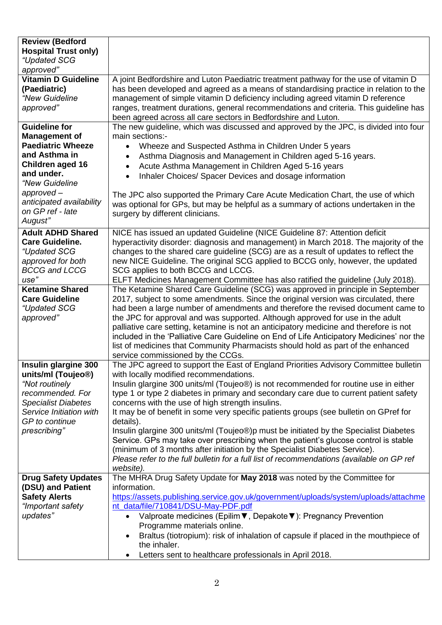| <b>Review (Bedford</b><br><b>Hospital Trust only)</b><br>"Updated SCG<br>approved"                                                                                                                                      |                                                                                                                                                                                                                                                                                                                                                                                                                                                                                                                                                                                                                                                                                                                                                                                                                                                   |
|-------------------------------------------------------------------------------------------------------------------------------------------------------------------------------------------------------------------------|---------------------------------------------------------------------------------------------------------------------------------------------------------------------------------------------------------------------------------------------------------------------------------------------------------------------------------------------------------------------------------------------------------------------------------------------------------------------------------------------------------------------------------------------------------------------------------------------------------------------------------------------------------------------------------------------------------------------------------------------------------------------------------------------------------------------------------------------------|
| <b>Vitamin D Guideline</b><br>(Paediatric)<br>"New Guideline<br>approved"                                                                                                                                               | A joint Bedfordshire and Luton Paediatric treatment pathway for the use of vitamin D<br>has been developed and agreed as a means of standardising practice in relation to the<br>management of simple vitamin D deficiency including agreed vitamin D reference<br>ranges, treatment durations, general recommendations and criteria. This quideline has<br>been agreed across all care sectors in Bedfordshire and Luton.                                                                                                                                                                                                                                                                                                                                                                                                                        |
| <b>Guideline for</b><br><b>Management of</b><br><b>Paediatric Wheeze</b><br>and Asthma in<br>Children aged 16<br>and under.<br>"New Guideline<br>$approved-$<br>anticipated availability<br>on GP ref - late<br>August" | The new guideline, which was discussed and approved by the JPC, is divided into four<br>main sections:-<br>Wheeze and Suspected Asthma in Children Under 5 years<br>Asthma Diagnosis and Management in Children aged 5-16 years.<br>Acute Asthma Management in Children Aged 5-16 years<br>$\bullet$<br>Inhaler Choices/ Spacer Devices and dosage information<br>$\bullet$<br>The JPC also supported the Primary Care Acute Medication Chart, the use of which<br>was optional for GPs, but may be helpful as a summary of actions undertaken in the<br>surgery by different clinicians.                                                                                                                                                                                                                                                         |
| <b>Adult ADHD Shared</b><br><b>Care Guideline.</b><br>"Updated SCG<br>approved for both<br><b>BCCG and LCCG</b><br>use"                                                                                                 | NICE has issued an updated Guideline (NICE Guideline 87: Attention deficit<br>hyperactivity disorder: diagnosis and management) in March 2018. The majority of the<br>changes to the shared care guideline (SCG) are as a result of updates to reflect the<br>new NICE Guideline. The original SCG applied to BCCG only, however, the updated<br>SCG applies to both BCCG and LCCG.<br>ELFT Medicines Management Committee has also ratified the guideline (July 2018).                                                                                                                                                                                                                                                                                                                                                                           |
| <b>Ketamine Shared</b><br><b>Care Guideline</b><br>"Updated SCG<br>approved"                                                                                                                                            | The Ketamine Shared Care Guideline (SCG) was approved in principle in September<br>2017, subject to some amendments. Since the original version was circulated, there<br>had been a large number of amendments and therefore the revised document came to<br>the JPC for approval and was supported. Although approved for use in the adult<br>palliative care setting, ketamine is not an anticipatory medicine and therefore is not<br>included in the 'Palliative Care Guideline on End of Life Anticipatory Medicines' nor the<br>list of medicines that Community Pharmacists should hold as part of the enhanced<br>service commissioned by the CCGs.                                                                                                                                                                                       |
| Insulin glargine 300<br>units/ml (Toujeo <sup>®</sup> )<br>"Not routinely<br>recommended. For<br><b>Specialist Diabetes</b><br>Service Initiation with<br>GP to continue<br>prescribing"                                | The JPC agreed to support the East of England Priorities Advisory Committee bulletin<br>with locally modified recommendations.<br>Insulin glargine 300 units/ml (Toujeo®) is not recommended for routine use in either<br>type 1 or type 2 diabetes in primary and secondary care due to current patient safety<br>concerns with the use of high strength insulins.<br>It may be of benefit in some very specific patients groups (see bulletin on GPref for<br>details).<br>Insulin glargine 300 units/ml (Toujeo®)p must be initiated by the Specialist Diabetes<br>Service. GPs may take over prescribing when the patient's glucose control is stable<br>(minimum of 3 months after initiation by the Specialist Diabetes Service).<br>Please refer to the full bulletin for a full list of recommendations (available on GP ref<br>website). |
| <b>Drug Safety Updates</b><br>(DSU) and Patient<br><b>Safety Alerts</b><br>"Important safety<br>updates"                                                                                                                | The MHRA Drug Safety Update for May 2018 was noted by the Committee for<br>information.<br>https://assets.publishing.service.gov.uk/government/uploads/system/uploads/attachme<br>nt_data/file/710841/DSU-May-PDF.pdf<br>Valproate medicines (Epilim V, Depakote V): Pregnancy Prevention<br>Programme materials online.<br>Braltus (tiotropium): risk of inhalation of capsule if placed in the mouthpiece of<br>the inhaler.<br>Letters sent to healthcare professionals in April 2018.                                                                                                                                                                                                                                                                                                                                                         |